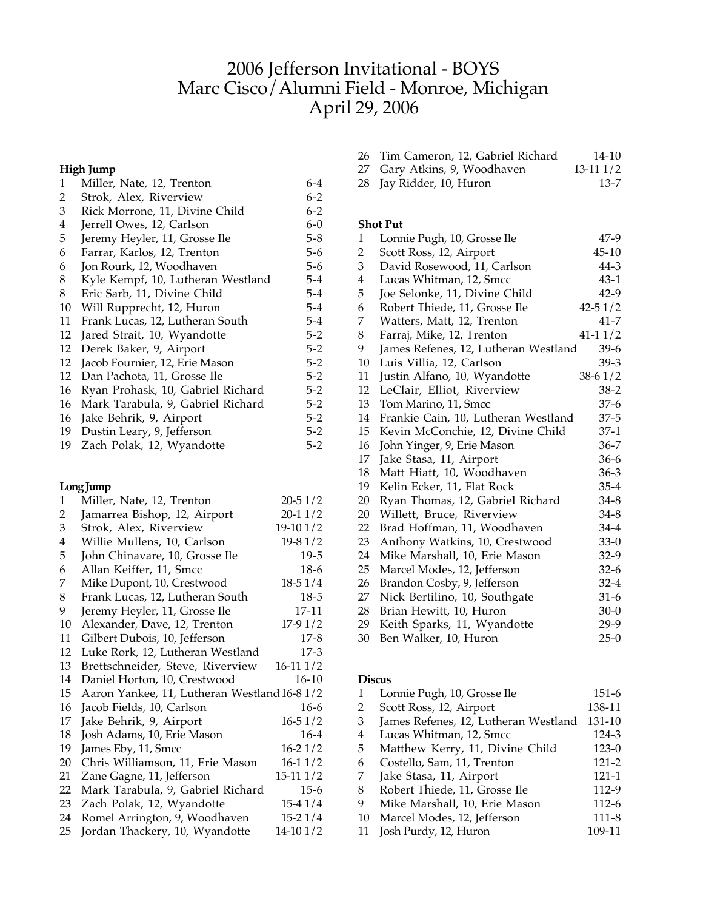# Jefferson Invitational - BOYS Marc Cisco/Alumni Field - Monroe, Michigan April 29, 2006

# **High Jump**

| $\mathbf{1}$ | Miller, Nate, 12, Trenton         | 6-4     |
|--------------|-----------------------------------|---------|
| 2            | Strok, Alex, Riverview            | $6 - 2$ |
| 3            | Rick Morrone, 11, Divine Child    | $6 - 2$ |
| 4            | Jerrell Owes, 12, Carlson         | $6 - 0$ |
| 5            | Jeremy Heyler, 11, Grosse Ile     | $5-8$   |
| 6            | Farrar, Karlos, 12, Trenton       | 5-6     |
| 6            | Jon Rourk, 12, Woodhaven          | 5-6     |
| 8            | Kyle Kempf, 10, Lutheran Westland | 5-4     |
| 8            | Eric Sarb, 11, Divine Child       | 5-4     |
| 10           | Will Rupprecht, 12, Huron         | $5 - 4$ |
| 11           | Frank Lucas, 12, Lutheran South   | $5 - 4$ |
| 12           | Jared Strait, 10, Wyandotte       | $5-2$   |
| 12           | Derek Baker, 9, Airport           | $5-2$   |
| 12           | Jacob Fournier, 12, Erie Mason    | $5-2$   |
| 12           | Dan Pachota, 11, Grosse Ile       | $5 - 2$ |
| 16           | Ryan Prohask, 10, Gabriel Richard | $5-2$   |
| 16           | Mark Tarabula, 9, Gabriel Richard | $5-2$   |
| 16           | Jake Behrik, 9, Airport           | $5 - 2$ |
| 19           | Dustin Leary, 9, Jefferson        | $5 - 2$ |
| 19           | Zach Polak, 12, Wyandotte         | 5-2     |
|              |                                   |         |

## **LongJump**

| 1  | Miller, Nate, 12, Trenton                    | $20 - 51/2$ |
|----|----------------------------------------------|-------------|
| 2  | Jamarrea Bishop, 12, Airport                 | $20 - 11/2$ |
| 3  | Strok, Alex, Riverview                       | $19-101/2$  |
| 4  | Willie Mullens, 10, Carlson                  | $19-81/2$   |
| 5  | John Chinavare, 10, Grosse Ile               | $19-5$      |
| 6  | Allan Keiffer, 11, Smcc                      | $18-6$      |
| 7  | Mike Dupont, 10, Crestwood                   | $18-51/4$   |
| 8  | Frank Lucas, 12, Lutheran South              | $18-5$      |
| 9  | Jeremy Heyler, 11, Grosse Ile                | 17-11       |
| 10 | Alexander, Dave, 12, Trenton                 | $17-91/2$   |
| 11 | Gilbert Dubois, 10, Jefferson                | $17-8$      |
| 12 | Luke Rork, 12, Lutheran Westland             | $17-3$      |
| 13 | Brettschneider, Steve, Riverview             | $16-111/2$  |
| 14 | Daniel Horton, 10, Crestwood                 | 16-10       |
| 15 | Aaron Yankee, 11, Lutheran Westland 16-8 1/2 |             |
| 16 | Jacob Fields, 10, Carlson                    | $16-6$      |
| 17 | Jake Behrik, 9, Airport                      | $16 - 51/2$ |
| 18 | Josh Adams, 10, Erie Mason                   | $16-4$      |
| 19 | James Eby, 11, Smcc                          | $16-21/2$   |
| 20 | Chris Williamson, 11, Erie Mason             | $16-11/2$   |
| 21 | Zane Gagne, 11, Jefferson                    | $15-111/2$  |
| 22 | Mark Tarabula, 9, Gabriel Richard            | $15-6$      |
| 23 | Zach Polak, 12, Wyandotte                    | $15-41/4$   |
| 24 | Romel Arrington, 9, Woodhaven                | $15-21/4$   |
| 25 | Jordan Thackery, 10, Wyandotte               | $14-101/2$  |

| 26 Tim Cameron, 12, Gabriel Richard | $14 - 10$  |
|-------------------------------------|------------|
| 27 Gary Atkins, 9, Woodhaven        | $13-111/2$ |

Jay Ridder, 10, Huron 13-7

## **Shot Put**

| 1                       | Lonnie Pugh, 10, Grosse Ile          | 47-9        |
|-------------------------|--------------------------------------|-------------|
| $\overline{2}$          | Scott Ross, 12, Airport              | $45 - 10$   |
| 3                       | David Rosewood, 11, Carlson          | $44 - 3$    |
| $\overline{\mathbf{4}}$ | Lucas Whitman, 12, Smcc              | 43-1        |
| 5                       | Joe Selonke, 11, Divine Child        | $42-9$      |
| 6                       | Robert Thiede, 11, Grosse Ile        | $42 - 51/2$ |
| 7                       | Watters, Matt, 12, Trenton           | 41-7        |
| 8                       | Farraj, Mike, 12, Trenton            | $41 - 11/2$ |
| 9                       | James Refenes, 12, Lutheran Westland | $39-6$      |
| 10                      | Luis Villia, 12, Carlson             | $39-3$      |
| 11                      | Justin Alfano, 10, Wyandotte         | $38-61/2$   |
| 12                      | LeClair, Elliot, Riverview           | $38-2$      |
| 13                      | Tom Marino, 11, Smcc                 | 37-6        |
| 14                      | Frankie Cain, 10, Lutheran Westland  | 37-5        |
| 15                      | Kevin McConchie, 12, Divine Child    | 37-1        |
| 16                      | John Yinger, 9, Erie Mason           | $36 - 7$    |
| 17                      | Jake Stasa, 11, Airport              | $36 - 6$    |
| 18                      | Matt Hiatt, 10, Woodhaven            | $36 - 3$    |
| 19                      | Kelin Ecker, 11, Flat Rock           | $35 - 4$    |
| 20                      | Ryan Thomas, 12, Gabriel Richard     | 34-8        |
| 20                      | Willett, Bruce, Riverview            | 34-8        |
| 22                      | Brad Hoffman, 11, Woodhaven          | $34 - 4$    |
| 23                      | Anthony Watkins, 10, Crestwood       | $33-0$      |
| 24                      | Mike Marshall, 10, Erie Mason        | 32-9        |
| 25                      | Marcel Modes, 12, Jefferson          | $32-6$      |
| 26                      | Brandon Cosby, 9, Jefferson          | $32 - 4$    |
| 27                      | Nick Bertilino, 10, Southgate        | $31-6$      |
| 28                      | Brian Hewitt, 10, Huron              | $30 - 0$    |
| 29                      | Keith Sparks, 11, Wyandotte          | $29-9$      |
| 30                      | Ben Walker, 10, Huron                | $25-0$      |

## **Discus**

| 1  | Lonnie Pugh, 10, Grosse Ile          | $151-6$   |
|----|--------------------------------------|-----------|
| 2  | Scott Ross, 12, Airport              | 138-11    |
| 3  | James Refenes, 12, Lutheran Westland | 131-10    |
| 4  | Lucas Whitman, 12, Smcc              | 124-3     |
| 5  | Matthew Kerry, 11, Divine Child      | $123-0$   |
| 6  | Costello, Sam, 11, Trenton           | 121-2     |
| 7  | Jake Stasa, 11, Airport              | $121 - 1$ |
| 8  | Robert Thiede, 11, Grosse Ile        | 112-9     |
| 9  | Mike Marshall, 10, Erie Mason        | 112-6     |
| 10 | Marcel Modes, 12, Jefferson          | $111 - 8$ |
| 11 | Josh Purdy, 12, Huron                | 109-11    |
|    |                                      |           |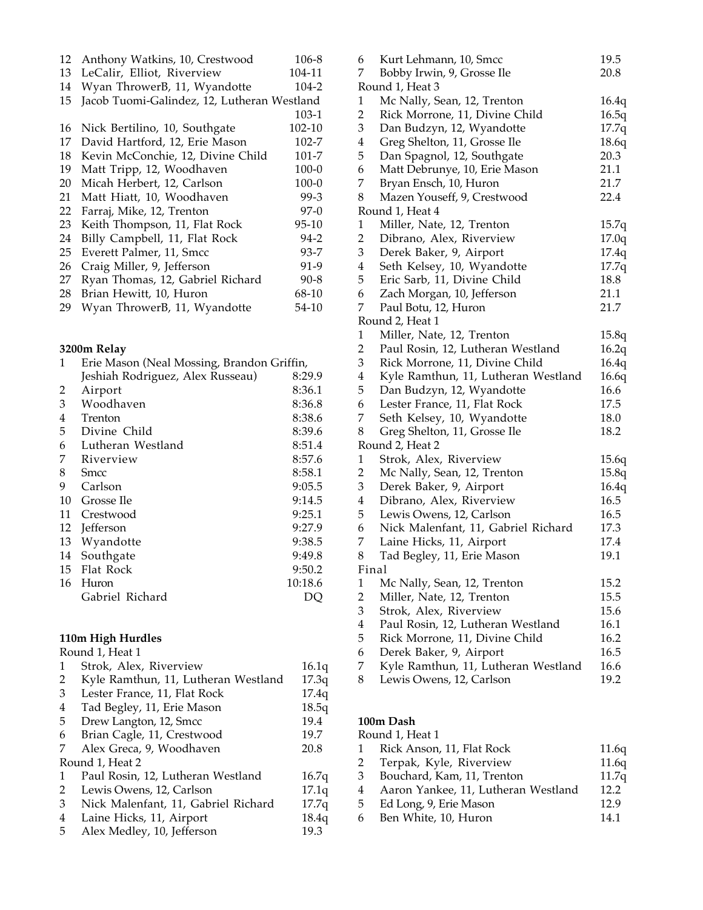| 12 | Anthony Watkins, 10, Crestwood              | 106-8     |
|----|---------------------------------------------|-----------|
| 13 | LeCalir, Elliot, Riverview                  | 104-11    |
| 14 | Wyan ThrowerB, 11, Wyandotte                | 104-2     |
| 15 | Jacob Tuomi-Galindez, 12, Lutheran Westland |           |
|    |                                             | 103-1     |
| 16 | Nick Bertilino, 10, Southgate               | 102-10    |
| 17 | David Hartford, 12, Erie Mason              | 102-7     |
| 18 | Kevin McConchie, 12, Divine Child           | 101-7     |
| 19 | Matt Tripp, 12, Woodhaven                   | $100 - 0$ |
| 20 | Micah Herbert, 12, Carlson                  | 100-0     |
| 21 | Matt Hiatt, 10, Woodhaven                   | $99-3$    |
| 22 | Farraj, Mike, 12, Trenton                   | 97-0      |
| 23 | Keith Thompson, 11, Flat Rock               | 95-10     |
| 24 | Billy Campbell, 11, Flat Rock               | $94 - 2$  |
| 25 | Everett Palmer, 11, Smcc                    | $93 - 7$  |
| 26 | Craig Miller, 9, Jefferson                  | 91-9      |
| 27 | Ryan Thomas, 12, Gabriel Richard            | $90 - 8$  |
| 28 | Brian Hewitt, 10, Huron                     | 68-10     |
| 29 | Wyan ThrowerB, 11, Wyandotte                | 54-10     |

## **3200m Relay**

| 1  | Erie Mason (Neal Mossing, Brandon Griffin, |         |
|----|--------------------------------------------|---------|
|    | Jeshiah Rodriguez, Alex Russeau)           | 8:29.9  |
| 2  | Airport                                    | 8:36.1  |
| 3  | Woodhaven                                  | 8:36.8  |
| 4  | Trenton                                    | 8:38.6  |
| 5  | Divine Child                               | 8:39.6  |
| 6  | Lutheran Westland                          | 8:51.4  |
| 7  | Riverview                                  | 8:57.6  |
| 8  | Smcc                                       | 8:58.1  |
| 9  | Carlson                                    | 9:05.5  |
| 10 | Grosse Ile                                 | 9:14.5  |
| 11 | Crestwood                                  | 9:25.1  |
| 12 | Jefferson                                  | 9:27.9  |
| 13 | Wyandotte                                  | 9:38.5  |
| 14 | Southgate                                  | 9:49.8  |
| 15 | Flat Rock                                  | 9:50.2  |
| 16 | Huron                                      | 10:18.6 |
|    | Gabriel Richard                            | DO      |
|    |                                            |         |

#### **110m High Hurdles**

|                | Round 1, Heat 1                     |       |  |  |  |
|----------------|-------------------------------------|-------|--|--|--|
| 1              | Strok, Alex, Riverview              | 16.1q |  |  |  |
| 2              | Kyle Ramthun, 11, Lutheran Westland | 17.3q |  |  |  |
| 3              | Lester France, 11, Flat Rock        | 17.4q |  |  |  |
| $\overline{4}$ | Tad Begley, 11, Erie Mason          | 18.5q |  |  |  |
| 5              | Drew Langton, 12, Smcc              | 19.4  |  |  |  |
| 6              | Brian Cagle, 11, Crestwood          | 19.7  |  |  |  |
| 7              | Alex Greca, 9, Woodhaven            | 20.8  |  |  |  |
|                | Round 1, Heat 2                     |       |  |  |  |
| 1              | Paul Rosin, 12, Lutheran Westland   | 16.7q |  |  |  |
| 2              | Lewis Owens, 12, Carlson            | 17.1q |  |  |  |
| 3              | Nick Malenfant, 11, Gabriel Richard | 17.7q |  |  |  |
| 4              | Laine Hicks, 11, Airport            | 18.4q |  |  |  |
| 5              | Alex Medley, 10, Jefferson          | 19.3  |  |  |  |

| 6                       | Kurt Lehmann, 10, Smcc              | 19.5  |
|-------------------------|-------------------------------------|-------|
| 7                       | Bobby Irwin, 9, Grosse Ile          | 20.8  |
|                         | Round 1, Heat 3                     |       |
| $\mathbf{1}$            | Mc Nally, Sean, 12, Trenton         | 16.4q |
| $\overline{2}$          | Rick Morrone, 11, Divine Child      | 16.5q |
| $\mathfrak{Z}$          | Dan Budzyn, 12, Wyandotte           | 17.7q |
| $\overline{\mathbf{4}}$ | Greg Shelton, 11, Grosse Ile        | 18.6q |
| 5                       | Dan Spagnol, 12, Southgate          | 20.3  |
| 6                       | Matt Debrunye, 10, Erie Mason       | 21.1  |
| 7                       | Bryan Ensch, 10, Huron              | 21.7  |
| 8                       | Mazen Youseff, 9, Crestwood         | 22.4  |
|                         | Round 1, Heat 4                     |       |
| $\mathbf{1}$            | Miller, Nate, 12, Trenton           | 15.7q |
| $\overline{2}$          | Dibrano, Alex, Riverview            | 17.0q |
| $\mathfrak{Z}$          | Derek Baker, 9, Airport             | 17.4q |
| $\overline{\mathbf{4}}$ | Seth Kelsey, 10, Wyandotte          | 17.7q |
| 5                       | Eric Sarb, 11, Divine Child         | 18.8  |
| 6                       | Zach Morgan, 10, Jefferson          | 21.1  |
| 7                       | Paul Botu, 12, Huron                | 21.7  |
|                         | Round 2, Heat 1                     |       |
| 1                       | Miller, Nate, 12, Trenton           | 15.8q |
| $\overline{2}$          | Paul Rosin, 12, Lutheran Westland   | 16.2q |
| $\mathfrak{Z}$          | Rick Morrone, 11, Divine Child      | 16.4q |
| $\overline{\mathbf{4}}$ | Kyle Ramthun, 11, Lutheran Westland | 16.6q |
| 5                       | Dan Budzyn, 12, Wyandotte           | 16.6  |
| 6                       | Lester France, 11, Flat Rock        | 17.5  |
| 7                       | Seth Kelsey, 10, Wyandotte          | 18.0  |
| 8                       | Greg Shelton, 11, Grosse Ile        | 18.2  |
|                         | Round 2, Heat 2                     |       |
| 1                       | Strok, Alex, Riverview              | 15.6q |
| $\overline{2}$          | Mc Nally, Sean, 12, Trenton         | 15.8q |
| $\mathfrak{Z}$          | Derek Baker, 9, Airport             | 16.4q |
| $\overline{\mathbf{4}}$ | Dibrano, Alex, Riverview            | 16.5  |
| 5                       | Lewis Owens, 12, Carlson            | 16.5  |
| 6                       | Nick Malenfant, 11, Gabriel Richard | 17.3  |
| 7                       | Laine Hicks, 11, Airport            | 17.4  |
| 8                       | Tad Begley, 11, Erie Mason          | 19.1  |
|                         | Final                               |       |
| 1                       | Mc Nally, Sean, 12, Trenton         | 15.2  |
| $\overline{2}$          | Miller, Nate, 12, Trenton           | 15.5  |
| 3                       | Strok, Alex, Riverview              | 15.6  |
| $\overline{\mathbf{4}}$ | Paul Rosin, 12, Lutheran Westland   | 16.1  |
| 5                       | Rick Morrone, 11, Divine Child      | 16.2  |
| 6                       | Derek Baker, 9, Airport             | 16.5  |
| 7                       | Kyle Ramthun, 11, Lutheran Westland | 16.6  |
| 8                       | Lewis Owens, 12, Carlson            | 19.2  |

# **100m Dash**

|    | Round 1, Heat 1                     |       |  |  |  |
|----|-------------------------------------|-------|--|--|--|
| 1  | Rick Anson, 11, Flat Rock           | 11.6q |  |  |  |
| 2  | Terpak, Kyle, Riverview             | 11.6q |  |  |  |
| 3  | Bouchard, Kam, 11, Trenton          | 11.7q |  |  |  |
| 4  | Aaron Yankee, 11, Lutheran Westland | 12.2  |  |  |  |
| -5 | Ed Long, 9, Erie Mason              | 12.9  |  |  |  |
| 6  | Ben White, 10, Huron                | 14 1  |  |  |  |
|    |                                     |       |  |  |  |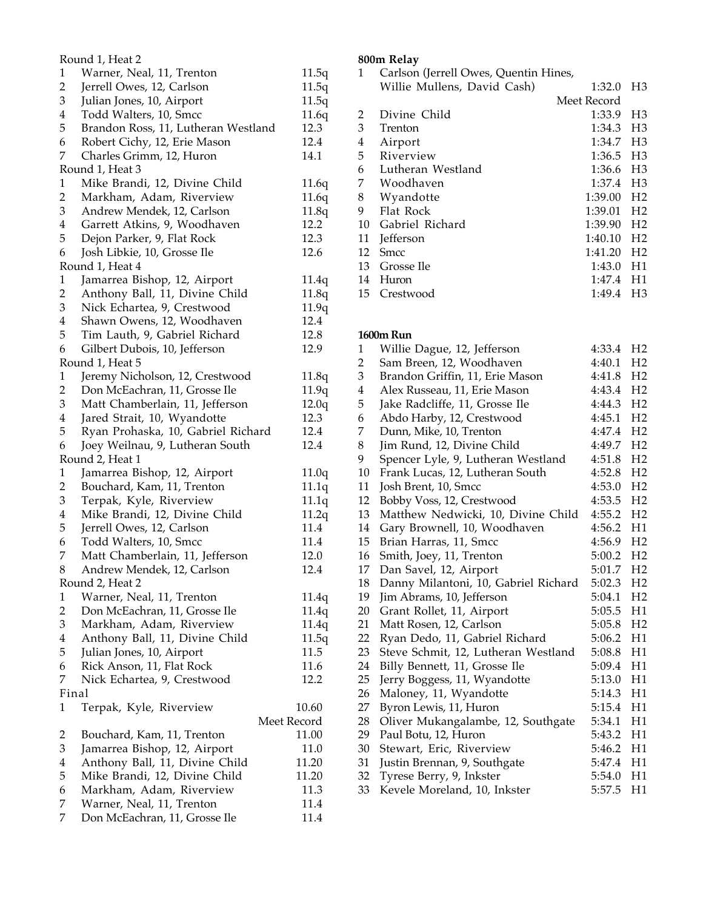|                         | Round 1, Heat 2                                    |                |
|-------------------------|----------------------------------------------------|----------------|
| $\mathbf{1}$            | Warner, Neal, 11, Trenton                          | 11.5q          |
| $\overline{2}$          | Jerrell Owes, 12, Carlson                          | 11.5q          |
| 3                       | Julian Jones, 10, Airport                          | 11.5q          |
| $\overline{\mathbf{4}}$ | Todd Walters, 10, Smcc                             | 11.6q          |
| 5                       | Brandon Ross, 11, Lutheran Westland                | 12.3           |
| 6                       | Robert Cichy, 12, Erie Mason                       | 12.4           |
| 7                       | Charles Grimm, 12, Huron                           | 14.1           |
|                         | Round 1, Heat 3                                    |                |
| $\mathbf{1}$            | Mike Brandi, 12, Divine Child                      | 11.6q          |
| $\overline{2}$          | Markham, Adam, Riverview                           | 11.6q          |
| 3                       | Andrew Mendek, 12, Carlson                         | 11.8q          |
| $\overline{\mathbf{4}}$ | Garrett Atkins, 9, Woodhaven                       | 12.2           |
| 5                       | Dejon Parker, 9, Flat Rock                         | 12.3           |
| 6                       | Josh Libkie, 10, Grosse Ile                        | 12.6           |
|                         | Round 1, Heat 4                                    |                |
| $\mathbf{1}$            | Jamarrea Bishop, 12, Airport                       | 11.4q          |
| $\overline{2}$          | Anthony Ball, 11, Divine Child                     | 11.8q          |
| 3                       | Nick Echartea, 9, Crestwood                        | 11.9q          |
| $\overline{\mathbf{4}}$ | Shawn Owens, 12, Woodhaven                         | 12.4           |
| 5                       | Tim Lauth, 9, Gabriel Richard                      | 12.8           |
| 6                       | Gilbert Dubois, 10, Jefferson                      | 12.9           |
|                         | Round 1, Heat 5                                    |                |
| $\mathbf{1}$            | Jeremy Nicholson, 12, Crestwood                    |                |
| $\overline{2}$          | Don McEachran, 11, Grosse Ile                      | 11.8q<br>11.9q |
| 3                       | Matt Chamberlain, 11, Jefferson                    | 12.0q          |
| $\overline{4}$          | Jared Strait, 10, Wyandotte                        | 12.3           |
| 5                       |                                                    | 12.4           |
| 6                       | Ryan Prohaska, 10, Gabriel Richard                 | 12.4           |
|                         | Joey Weilnau, 9, Lutheran South<br>Round 2, Heat 1 |                |
| $\mathbf{1}$            |                                                    |                |
|                         | Jamarrea Bishop, 12, Airport                       | 11.0q          |
| $\overline{c}$<br>3     | Bouchard, Kam, 11, Trenton                         | 11.1q          |
| $\overline{4}$          | Terpak, Kyle, Riverview                            | 11.1q          |
|                         | Mike Brandi, 12, Divine Child                      | 11.2q          |
| 5                       | Jerrell Owes, 12, Carlson                          | 11.4           |
| 6<br>7                  | Todd Walters, 10, Smcc                             | 11.4           |
| 8                       | Matt Chamberlain, 11, Jefferson                    | 12.0           |
|                         | Andrew Mendek, 12, Carlson                         | 12.4           |
|                         | Round 2, Heat 2                                    |                |
| $\mathbf{1}$            | Warner, Neal, 11, Trenton                          | 11.4q          |
| $\overline{c}$<br>3     | Don McEachran, 11, Grosse Ile                      | 11.4q          |
|                         | Markham, Adam, Riverview                           | 11.4q          |
| $\overline{4}$          | Anthony Ball, 11, Divine Child                     | 11.5q          |
| 5                       | Julian Jones, 10, Airport                          | 11.5           |
| 6                       | Rick Anson, 11, Flat Rock                          | 11.6           |
| 7                       | Nick Echartea, 9, Crestwood                        | 12.2           |
| Final                   |                                                    |                |
| 1                       | Terpak, Kyle, Riverview                            | 10.60          |
|                         |                                                    | Meet Record    |
| 2                       | Bouchard, Kam, 11, Trenton                         | 11.00          |
| 3                       | Jamarrea Bishop, 12, Airport                       | 11.0           |
| $\bf 4$                 | Anthony Ball, 11, Divine Child                     | 11.20          |
| 5                       | Mike Brandi, 12, Divine Child                      | 11.20          |
| 6                       | Markham, Adam, Riverview                           | 11.3           |
| 7                       | Warner, Neal, 11, Trenton                          | 11.4           |
| 7                       | Don McEachran, 11, Grosse Ile                      | 11.4           |

# **800m Relay**

| 1  | Carlson (Jerrell Owes, Quentin Hines, |             |                |
|----|---------------------------------------|-------------|----------------|
|    | Willie Mullens, David Cash)           | 1:32.0      | H <sub>3</sub> |
|    |                                       | Meet Record |                |
| 2  | Divine Child                          | 1:33.9      | H <sub>3</sub> |
| 3  | Trenton                               | 1:34.3      | $H_3$          |
| 4  | Airport                               | 1:34.7      | $H_3$          |
| 5  | Riverview                             | 1:36.5 H3   |                |
| 6  | Lutheran Westland                     | 1:36.6 H3   |                |
| 7  | Woodhaven                             | 1:37.4 H3   |                |
| 8  | Wyandotte                             | 1:39.00     | H <sub>2</sub> |
| 9  | Flat Rock                             | 1:39.01     | H <sub>2</sub> |
| 10 | Gabriel Richard                       | 1:39.90     | H <sub>2</sub> |
| 11 | Jefferson                             | 1:40.10     | H <sub>2</sub> |
| 12 | <b>Smcc</b>                           | 1:41.20     | H <sub>2</sub> |
| 13 | Grosse Ile                            | 1:43.0      | H1             |
| 14 | Huron                                 | 1:47.4      | H1             |
| 15 | Crestwood                             | 1:49.4      | H3             |
|    |                                       |             |                |

## **1600m Run**

| 1                       | Willie Dague, 12, Jefferson          | 4:33.4 | H <sub>2</sub> |
|-------------------------|--------------------------------------|--------|----------------|
| $\overline{2}$          | Sam Breen, 12, Woodhaven             | 4:40.1 | H <sub>2</sub> |
| 3                       | Brandon Griffin, 11, Erie Mason      | 4:41.8 | H <sub>2</sub> |
| $\overline{\mathbf{4}}$ | Alex Russeau, 11, Erie Mason         | 4:43.4 | H <sub>2</sub> |
| 5                       | Jake Radcliffe, 11, Grosse Ile       | 4:44.3 | H <sub>2</sub> |
| 6                       | Abdo Harby, 12, Crestwood            | 4:45.1 | H <sub>2</sub> |
| 7                       | Dunn, Mike, 10, Trenton              | 4:47.4 | H <sub>2</sub> |
| 8                       | Jim Rund, 12, Divine Child           | 4:49.7 | H <sub>2</sub> |
| 9                       | Spencer Lyle, 9, Lutheran Westland   | 4:51.8 | H <sub>2</sub> |
| 10                      | Frank Lucas, 12, Lutheran South      | 4:52.8 | H <sub>2</sub> |
| 11                      | Josh Brent, 10, Smcc                 | 4:53.0 | H <sub>2</sub> |
| 12                      | Bobby Voss, 12, Crestwood            | 4:53.5 | H <sub>2</sub> |
| 13                      | Matthew Nedwicki, 10, Divine Child   | 4:55.2 | H <sub>2</sub> |
| 14                      | Gary Brownell, 10, Woodhaven         | 4:56.2 | H1             |
| 15                      | Brian Harras, 11, Smcc               | 4:56.9 | H <sub>2</sub> |
| 16                      | Smith, Joey, 11, Trenton             | 5:00.2 | H <sub>2</sub> |
| 17                      | Dan Savel, 12, Airport               | 5:01.7 | H <sub>2</sub> |
| 18                      | Danny Milantoni, 10, Gabriel Richard | 5:02.3 | H <sub>2</sub> |
| 19                      | Jim Abrams, 10, Jefferson            | 5:04.1 | H <sub>2</sub> |
| 20                      | Grant Rollet, 11, Airport            | 5:05.5 | H1             |
| 21                      | Matt Rosen, 12, Carlson              | 5:05.8 | H <sub>2</sub> |
| 22                      | Ryan Dedo, 11, Gabriel Richard       | 5:06.2 | H1             |
| 23                      | Steve Schmit, 12, Lutheran Westland  | 5:08.8 | H1             |
| 24                      | Billy Bennett, 11, Grosse Ile        | 5:09.4 | H1             |
| 25                      | Jerry Boggess, 11, Wyandotte         | 5:13.0 | H1             |
| 26                      | Maloney, 11, Wyandotte               | 5:14.3 | H1             |
| 27                      | Byron Lewis, 11, Huron               | 5:15.4 | H1             |
| 28                      | Oliver Mukangalambe, 12, Southgate   | 5:34.1 | H1             |
| 29                      | Paul Botu, 12, Huron                 | 5:43.2 | H1             |
| 30                      | Stewart, Eric, Riverview             | 5:46.2 | H1             |
| 31                      | Justin Brennan, 9, Southgate         | 5:47.4 | H1             |
| 32                      | Tyrese Berry, 9, Inkster             | 5:54.0 | H1             |
| 33                      | Kevele Moreland, 10, Inkster         | 5:57.5 | H1             |
|                         |                                      |        |                |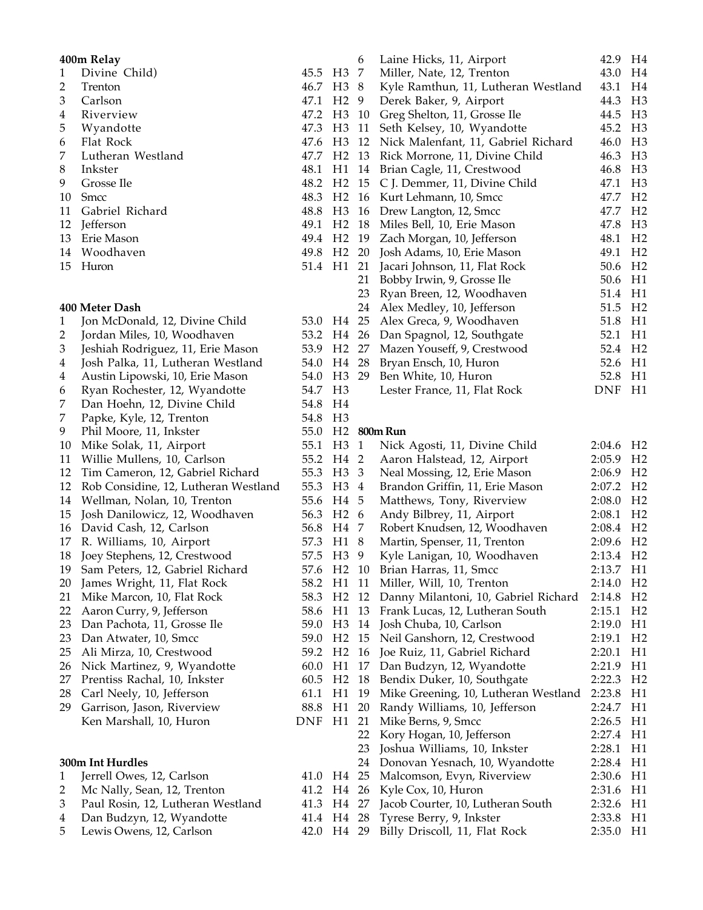| 400m Relay |                   |                     |                |  |  |
|------------|-------------------|---------------------|----------------|--|--|
| 1          | Divine Child)     | 45.5                | H <sub>3</sub> |  |  |
| 2          | Trenton           | 46.7 H <sub>3</sub> |                |  |  |
| 3          | Carlson           | 47.1                | H <sub>2</sub> |  |  |
| 4          | Riverview         | 47.2                | H3             |  |  |
| 5          | Wyandotte         | 47.3 H3             |                |  |  |
| 6          | Flat Rock         | 47.6 H3             |                |  |  |
| 7          | Lutheran Westland | 47.7 H <sub>2</sub> |                |  |  |
| 8          | Inkster           | 48.1                | H1             |  |  |
| 9          | Grosse Ile        | 48.2 H <sub>2</sub> |                |  |  |
| 10         | Smcc              | 48.3 H <sub>2</sub> |                |  |  |
| 11         | Gabriel Richard   | 48.8                | H3             |  |  |
| 12         | <b>Jefferson</b>  | 49.1                | H <sub>2</sub> |  |  |
| 13         | Erie Mason        | 49.4                | H <sub>2</sub> |  |  |
|            | 14 Woodhaven      | 49.8                | H <sub>2</sub> |  |  |
| 15         | Huron             | 51.4                | H1             |  |  |

### **Meter Dash**

| $\mathbf{1}$   | Jon McDonald, 12, Divine Child       | 53.0       | H4             | 25             | Alex     |
|----------------|--------------------------------------|------------|----------------|----------------|----------|
| $\overline{c}$ | Jordan Miles, 10, Woodhaven          | 53.2       | H <sub>4</sub> | 26             | Dan :    |
| 3              | Jeshiah Rodriguez, 11, Erie Mason    | 53.9       | H <sub>2</sub> | 27             | Maze     |
| $\overline{4}$ | Josh Palka, 11, Lutheran Westland    | 54.0       | H <sub>4</sub> | 28             | Bryai    |
| 4              | Austin Lipowski, 10, Erie Mason      | 54.0       | H <sub>3</sub> | 29             | Ben J    |
| 6              | Ryan Rochester, 12, Wyandotte        | 54.7       | H <sub>3</sub> |                | Leste    |
| 7              | Dan Hoehn, 12, Divine Child          | 54.8       | H4             |                |          |
| 7              | Papke, Kyle, 12, Trenton             | 54.8       | H <sub>3</sub> |                |          |
| 9              | Phil Moore, 11, Inkster              | 55.0       | H <sub>2</sub> |                | 800m Run |
| 10             | Mike Solak, 11, Airport              | 55.1       | H <sub>3</sub> | $\mathbf{1}$   | Nick     |
| 11             | Willie Mullens, 10, Carlson          | 55.2       | H4             | $\overline{2}$ | Aaro     |
| 12             | Tim Cameron, 12, Gabriel Richard     | 55.3       | H <sub>3</sub> | 3              | Neal     |
| 12             | Rob Considine, 12, Lutheran Westland | 55.3       | H <sub>3</sub> | 4              | Brano    |
| 14             | Wellman, Nolan, 10, Trenton          | 55.6       | H <sub>4</sub> | 5              | Mattl    |
| 15             | Josh Danilowicz, 12, Woodhaven       | 56.3       | H <sub>2</sub> | 6              | Andy     |
| 16             | David Cash, 12, Carlson              | 56.8       | H <sub>4</sub> | 7              | Robe     |
| 17             | R. Williams, 10, Airport             | 57.3       | H1             | 8              | Marti    |
| 18             | Joey Stephens, 12, Crestwood         | 57.5       | H <sub>3</sub> | 9              | Kyle     |
| 19             | Sam Peters, 12, Gabriel Richard      | 57.6       | H <sub>2</sub> | 10             | Brian    |
| 20             | James Wright, 11, Flat Rock          | 58.2       | H1             | 11             | Mille    |
| 21             | Mike Marcon, 10, Flat Rock           | 58.3       | H <sub>2</sub> | 12             | Danr     |
| 22             | Aaron Curry, 9, Jefferson            | 58.6       | H1             | 13             | Franl    |
| 23             | Dan Pachota, 11, Grosse Ile          | 59.0       | H <sub>3</sub> | 14             | Josh (   |
| 23             | Dan Atwater, 10, Smcc                | 59.0       | H <sub>2</sub> | 15             | Neil     |
| 25             | Ali Mirza, 10, Crestwood             | 59.2       | H <sub>2</sub> | 16             | Joe R    |
| 26             | Nick Martinez, 9, Wyandotte          | 60.0       | H1             | 17             | Dan l    |
| 27             | Prentiss Rachal, 10, Inkster         | 60.5       | H <sub>2</sub> | 18             | Bend     |
| 28             | Carl Neely, 10, Jefferson            | 61.1       | H1             | 19             | Mike     |
| 29             | Garrison, Jason, Riverview           | 88.8       | H1             | 20             | Rand     |
|                | Ken Marshall, 10, Huron              | <b>DNF</b> | H1             | 21             | Mike     |
|                |                                      |            |                | 22             | Kory     |
|                |                                      |            |                | 23             | Josht    |
|                | 300m Int Hurdles                     |            |                | 24             | Donc     |
| $\mathbf{1}$   | Jerrell Owes, 12, Carlson            | 41.0       | H <sub>4</sub> | 25             | Malc     |
| $\overline{c}$ | Mc Nally, Sean, 12, Trenton          | 41.2       | H <sub>4</sub> | 26             | Kyle     |
| 3              | Paul Rosin, 12, Lutheran Westland    | 41.3       | H <sub>4</sub> | 27             | Jacob    |
| 4              | Dan Budzyn, 12, Wyandotte            | 41.4       | H <sub>4</sub> | 28             | Tyres    |

5 Lewis Owens, 12, Carlson 42.0

|                | 6  | Laine Hicks, 11, Airport            | 42.9 | H4             |
|----------------|----|-------------------------------------|------|----------------|
| H3             | 7  | Miller, Nate, 12, Trenton           | 43.0 | H <sub>4</sub> |
| H3             | 8  | Kyle Ramthun, 11, Lutheran Westland | 43.1 | H <sub>4</sub> |
| H <sub>2</sub> | 9  | Derek Baker, 9, Airport             | 44.3 | H <sub>3</sub> |
| H3             | 10 | Greg Shelton, 11, Grosse Ile        | 44.5 | H <sub>3</sub> |
| H3             | 11 | Seth Kelsey, 10, Wyandotte          | 45.2 | H <sub>3</sub> |
| H3             | 12 | Nick Malenfant, 11, Gabriel Richard | 46.0 | H <sub>3</sub> |
| H <sub>2</sub> | 13 | Rick Morrone, 11, Divine Child      | 46.3 | H <sub>3</sub> |
| H1             | 14 | Brian Cagle, 11, Crestwood          | 46.8 | H <sub>3</sub> |
| H <sub>2</sub> | 15 | C J. Demmer, 11, Divine Child       | 47.1 | H <sub>3</sub> |
| H <sub>2</sub> | 16 | Kurt Lehmann, 10, Smcc              | 47.7 | H <sub>2</sub> |
| H <sub>3</sub> | 16 | Drew Langton, 12, Smcc              | 47.7 | H <sub>2</sub> |
| H <sub>2</sub> | 18 | Miles Bell, 10, Erie Mason          | 47.8 | H <sub>3</sub> |
| H <sub>2</sub> | 19 | Zach Morgan, 10, Jefferson          | 48.1 | H <sub>2</sub> |
| H <sub>2</sub> | 20 | Josh Adams, 10, Erie Mason          | 49.1 | H <sub>2</sub> |
| H1             | 21 | Jacari Johnson, 11, Flat Rock       | 50.6 | H <sub>2</sub> |
|                | 21 | Bobby Irwin, 9, Grosse Ile          | 50.6 | H1             |
|                | 23 | Ryan Breen, 12, Woodhaven           | 51.4 | H1             |
|                | 24 | Alex Medley, 10, Jefferson          | 51.5 | H <sub>2</sub> |
| H4             | 25 | Alex Greca, 9, Woodhaven            | 51.8 | H1             |
| H4             | 26 | Dan Spagnol, 12, Southgate          | 52.1 | H1             |
| H <sub>2</sub> | 27 | Mazen Youseff, 9, Crestwood         | 52.4 | H <sub>2</sub> |
| H4             | 28 | Bryan Ensch, 10, Huron              | 52.6 | H1             |
| H <sub>3</sub> | 29 | Ben White, 10, Huron                | 52.8 | H1             |
| H3             |    | Lester France, 11, Flat Rock        | DNF  | H1             |

| H3             | $\mathbf{1}$ | Nick Agosti, 11, Divine Child        | 2:04.6 | H <sub>2</sub> |
|----------------|--------------|--------------------------------------|--------|----------------|
| H4             | 2            | Aaron Halstead, 12, Airport          | 2:05.9 | H <sub>2</sub> |
| H <sub>3</sub> | 3            | Neal Mossing, 12, Erie Mason         | 2:06.9 | H <sub>2</sub> |
| H <sub>3</sub> | 4            | Brandon Griffin, 11, Erie Mason      | 2:07.2 | H <sub>2</sub> |
| H4             | 5            | Matthews, Tony, Riverview            | 2:08.0 | H <sub>2</sub> |
| H <sub>2</sub> | 6            | Andy Bilbrey, 11, Airport            | 2:08.1 | H <sub>2</sub> |
| H4             | 7            | Robert Knudsen, 12, Woodhaven        | 2:08.4 | H <sub>2</sub> |
| H1             | 8            | Martin, Spenser, 11, Trenton         | 2:09.6 | H <sub>2</sub> |
| H <sub>3</sub> | 9            | Kyle Lanigan, 10, Woodhaven          | 2:13.4 | H <sub>2</sub> |
| H <sub>2</sub> | 10           | Brian Harras, 11, Smcc               | 2:13.7 | H1             |
| H1             | 11           | Miller, Will, 10, Trenton            | 2:14.0 | H <sub>2</sub> |
| H <sub>2</sub> | 12           | Danny Milantoni, 10, Gabriel Richard | 2:14.8 | H <sub>2</sub> |
| H1             | 13           | Frank Lucas, 12, Lutheran South      | 2:15.1 | H <sub>2</sub> |
| H <sub>3</sub> | 14           | Josh Chuba, 10, Carlson              | 2:19.0 | H1             |
| H <sub>2</sub> | 15           | Neil Ganshorn, 12, Crestwood         | 2:19.1 | H <sub>2</sub> |
| H <sub>2</sub> | 16           | Joe Ruiz, 11, Gabriel Richard        | 2:20.1 | H1             |
| H1             | 17           | Dan Budzyn, 12, Wyandotte            | 2:21.9 | H1             |
| H <sub>2</sub> | 18           | Bendix Duker, 10, Southgate          | 2:22.3 | H <sub>2</sub> |
| H1             | 19           | Mike Greening, 10, Lutheran Westland | 2:23.8 | H1             |
| H1             | 20           | Randy Williams, 10, Jefferson        | 2:24.7 | H1             |
| H1             | 21           | Mike Berns, 9, Smcc                  | 2:26.5 | H1             |
|                | 22           | Kory Hogan, 10, Jefferson            | 2:27.4 | H1             |
|                | 23           | Joshua Williams, 10, Inkster         | 2:28.1 | H1             |
|                | 24           | Donovan Yesnach, 10, Wyandotte       | 2:28.4 | H1             |
| H4             | 25           | Malcomson, Evyn, Riverview           | 2:30.6 | H1             |
| H <sub>4</sub> | 26           | Kyle Cox, 10, Huron                  | 2:31.6 | H1             |
| H4             | 27           | Jacob Courter, 10, Lutheran South    | 2:32.6 | H1             |
| H4             | 28           | Tyrese Berry, 9, Inkster             | 2:33.8 | H1             |
| H4             | 29           | Billy Driscoll, 11, Flat Rock        | 2:35.0 | H1             |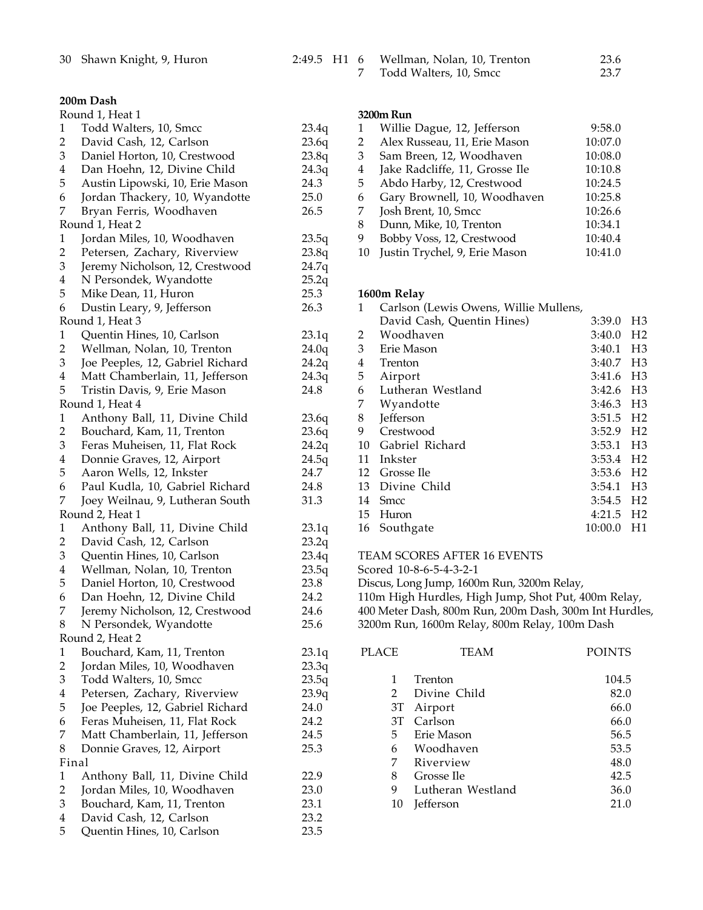|  | 2:49.5 H1 6 Wellman, Nolan, 10, Trenton |  |
|--|-----------------------------------------|--|
|--|-----------------------------------------|--|

## **200m Dash**

|                         | Round 1, Heat 1                  |       |
|-------------------------|----------------------------------|-------|
| 1                       | Todd Walters, 10, Smcc           | 23.4q |
| $\overline{c}$          | David Cash, 12, Carlson          | 23.6q |
| 3                       | Daniel Horton, 10, Crestwood     | 23.8q |
| $\overline{4}$          | Dan Hoehn, 12, Divine Child      | 24.3q |
| 5                       | Austin Lipowski, 10, Erie Mason  | 24.3  |
| 6                       | Jordan Thackery, 10, Wyandotte   | 25.0  |
| 7                       | Bryan Ferris, Woodhaven          | 26.5  |
|                         | Round 1, Heat 2                  |       |
| $\mathbf{1}$            | Jordan Miles, 10, Woodhaven      | 23.5q |
| $\overline{2}$          | Petersen, Zachary, Riverview     | 23.8q |
| 3                       | Jeremy Nicholson, 12, Crestwood  | 24.7q |
| $\overline{4}$          | N Persondek, Wyandotte           | 25.2q |
| 5                       | Mike Dean, 11, Huron             | 25.3  |
| 6                       | Dustin Leary, 9, Jefferson       | 26.3  |
|                         | Round 1, Heat 3                  |       |
| 1                       | Quentin Hines, 10, Carlson       | 23.1q |
| $\overline{2}$          | Wellman, Nolan, 10, Trenton      | 24.0q |
| 3                       | Joe Peeples, 12, Gabriel Richard | 24.2q |
| $\overline{4}$          | Matt Chamberlain, 11, Jefferson  | 24.3q |
| 5                       | Tristin Davis, 9, Erie Mason     | 24.8  |
|                         | Round 1, Heat 4                  |       |
| $\mathbf{1}$            | Anthony Ball, 11, Divine Child   | 23.6q |
| $\overline{c}$          | Bouchard, Kam, 11, Trenton       | 23.6q |
| 3                       | Feras Muheisen, 11, Flat Rock    | 24.2q |
| $\overline{4}$          | Donnie Graves, 12, Airport       | 24.5q |
| 5                       | Aaron Wells, 12, Inkster         | 24.7  |
| 6                       | Paul Kudla, 10, Gabriel Richard  | 24.8  |
| 7                       | Joey Weilnau, 9, Lutheran South  | 31.3  |
|                         | Round 2, Heat 1                  |       |
| 1                       | Anthony Ball, 11, Divine Child   | 23.1q |
| $\overline{c}$          | David Cash, 12, Carlson          | 23.2q |
| 3                       | Quentin Hines, 10, Carlson       | 23.4q |
| $\overline{4}$          | Wellman, Nolan, 10, Trenton      | 23.5q |
| 5                       | Daniel Horton, 10, Crestwood     | 23.8  |
| 6                       | Dan Hoehn, 12, Divine Child      | 24.2  |
| 7                       | Jeremy Nicholson, 12, Crestwood  | 24.6  |
| $\, 8$                  | N Persondek, Wyandotte           | 25.6  |
|                         | Round 2, Heat 2                  |       |
| $\mathbf{1}$            | Bouchard, Kam, 11, Trenton       | 23.1q |
| $\overline{c}$          | Jordan Miles, 10, Woodhaven      | 23.3q |
| 3                       | Todd Walters, 10, Smcc           |       |
| $\bf 4$                 | Petersen, Zachary, Riverview     | 23.5q |
| 5                       |                                  | 23.9q |
|                         | Joe Peeples, 12, Gabriel Richard | 24.0  |
| 6                       | Feras Muheisen, 11, Flat Rock    | 24.2  |
| 7                       | Matt Chamberlain, 11, Jefferson  | 24.5  |
| 8                       | Donnie Graves, 12, Airport       | 25.3  |
|                         | Final                            |       |
| $\mathbf{1}$            | Anthony Ball, 11, Divine Child   | 22.9  |
| $\overline{2}$          | Jordan Miles, 10, Woodhaven      | 23.0  |
| 3                       | Bouchard, Kam, 11, Trenton       | 23.1  |
| $\overline{\mathbf{4}}$ | David Cash, 12, Carlson          | 23.2  |
| 5                       | Quentin Hines, 10, Carlson       | 23.5  |

|  | Wellman, Nolan, 10, Trenton | 23.6 |
|--|-----------------------------|------|
|  | Todd Walters, 10, Smcc      | 23.7 |

## **3200m Run**

|    | Willie Dague, 12, Jefferson    | 9:58.0  |
|----|--------------------------------|---------|
| 2  | Alex Russeau, 11, Erie Mason   | 10:07.0 |
| 3  | Sam Breen, 12, Woodhaven       | 10:08.0 |
| 4  | Jake Radcliffe, 11, Grosse Ile | 10:10.8 |
| 5  | Abdo Harby, 12, Crestwood      | 10:24.5 |
| 6  | Gary Brownell, 10, Woodhaven   | 10:25.8 |
| 7  | Josh Brent, 10, Smcc           | 10:26.6 |
| 8  | Dunn, Mike, 10, Trenton        | 10:34.1 |
| 9  | Bobby Voss, 12, Crestwood      | 10:40.4 |
| 10 | Justin Trychel, 9, Erie Mason  | 10:41.0 |

## **1600m Relay**

| 1                       | Carlson (Lewis Owens, Willie Mullens, |                         |                |
|-------------------------|---------------------------------------|-------------------------|----------------|
|                         | David Cash, Quentin Hines)            | 3:39.0                  | H <sub>3</sub> |
| 2                       | Woodhaven                             | 3:40.0                  | H <sub>2</sub> |
| 3                       | Erie Mason                            | 3:40.1                  | H <sub>3</sub> |
| $\overline{\mathbf{4}}$ | Trenton                               | 3:40.7                  | H <sub>3</sub> |
| 5                       | Airport                               | $3:41.6$ H <sub>3</sub> |                |
| 6                       | Lutheran Westland                     | 3:42.6 H3               |                |
| 7                       | Wyandotte                             | 3:46.3 H3               |                |
| 8                       | Jefferson                             | 3:51.5                  | H <sub>2</sub> |
| 9                       | Crestwood                             | $3:52.9$ H <sub>2</sub> |                |
| 10                      | Gabriel Richard                       | $3:53.1$ H <sub>3</sub> |                |
| 11                      | Inkster                               | 3:53.4 H <sub>2</sub>   |                |
| 12                      | Grosse Ile                            | 3:53.6                  | H <sub>2</sub> |
| 13                      | Divine Child                          | 3:54.1                  | H <sub>3</sub> |
| 14                      | <b>Smcc</b>                           | 3:54.5                  | H <sub>2</sub> |
|                         | 15 Huron                              | 4:21.5 H <sub>2</sub>   |                |
| 16                      | Southgate                             | 10:00.0                 | H1             |

- TEAM SCORES AFTER 16 EVENTS
- Scored 10-8-6-5-4-3-2-1
- Discus, Long Jump, 1600m Run, 3200m Relay,
- 110m High Hurdles, High Jump, Shot Put, 400m Relay,
- Meter Dash, 800m Run, 200m Dash, 300m Int Hurdles,
- 3200m Run, 1600m Relay, 800m Relay, 100m Dash

| PLACE         | TEAM                    | <b>POINTS</b> |
|---------------|-------------------------|---------------|
| $\mathcal{P}$ | Trenton                 | 104.5         |
| 3T            | Divine Child<br>Airport | 82.0<br>66.0  |
| 3T            | Carlson                 | 66.0          |
| 5             | Erie Mason              | 56.5          |
| 6             | Woodhaven               | 53.5          |
| 7             | Riverview               | 48.0          |
| 8             | Grosse Ile              | 42.5          |
| 9             | Lutheran Westland       | 36.0          |
| 10            | <b>Jefferson</b>        | 21.           |